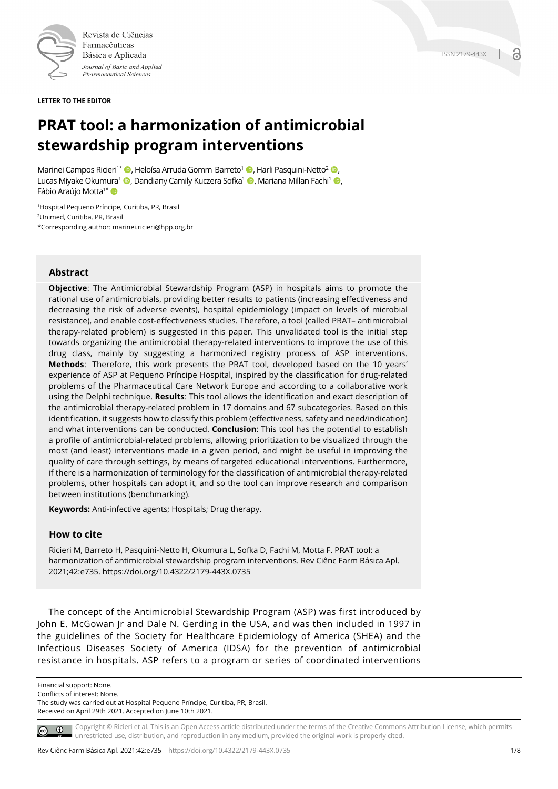

Farmacêuticas Básica e Aplicada Journal of Basic and Applied Pharmaceutical Sciences

**LETTER TO THE EDITOR**

# **PRAT tool: a harmonization of antimicrobial stewardship program interventions**

Marinei Campos Ricieri<sup>1\*</sup>  $\bullet$ , Heloísa Arruda Gomm Barreto<sup>1</sup>  $\bullet$ , Harli Pasquini-Netto<sup>2</sup>  $\bullet$ , Lucas Miyake Okumura<sup>1</sup> (D, Dandiany Camily Kuczera Sofka<sup>1</sup> (D, Mariana Millan Fachi<sup>1</sup> (D, Fábio Araújo Motta<sup>1\*</sup>

<sup>1</sup>Hospital Pequeno Príncipe, Curitiba, PR, Brasil 2Unimed, Curitiba, PR, Brasil \*Corresponding author: marinei.ricieri@hpp.org.br

## **Abstract**

**Objective**: The Antimicrobial Stewardship Program (ASP) in hospitals aims to promote the rational use of antimicrobials, providing better results to patients (increasing effectiveness and decreasing the risk of adverse events), hospital epidemiology (impact on levels of microbial resistance), and enable cost-effectiveness studies. Therefore, a tool (called PRAT– antimicrobial therapy-related problem) is suggested in this paper. This unvalidated tool is the initial step towards organizing the antimicrobial therapy-related interventions to improve the use of this drug class, mainly by suggesting a harmonized registry process of ASP interventions. **Methods**: Therefore, this work presents the PRAT tool, developed based on the 10 years' experience of ASP at Pequeno Príncipe Hospital, inspired by the classification for drug-related problems of the Pharmaceutical Care Network Europe and according to a collaborative work using the Delphi technique. **Results**: This tool allows the identification and exact description of the antimicrobial therapy-related problem in 17 domains and 67 subcategories. Based on this identification, it suggests how to classify this problem (effectiveness, safety and need/indication) and what interventions can be conducted. **Conclusion**: This tool has the potential to establish a profile of antimicrobial-related problems, allowing prioritization to be visualized through the most (and least) interventions made in a given period, and might be useful in improving the quality of care through settings, by means of targeted educational interventions. Furthermore, if there is a harmonization of terminology for the classification of antimicrobial therapy-related problems, other hospitals can adopt it, and so the tool can improve research and comparison between institutions (benchmarking).

**Keywords:** Anti-infective agents; Hospitals; Drug therapy.

## **How to cite**

Ricieri M, Barreto H, Pasquini-Netto H, Okumura L, Sofka D, Fachi M, Motta F. PRAT tool: a harmonization of antimicrobial stewardship program interventions. Rev Ciênc Farm Básica Apl. 2021;42:e735. https://doi.org/10.4322/2179-443X.0735

The concept of the Antimicrobial Stewardship Program (ASP) was first introduced by John E. McGowan Jr and Dale N. Gerding in the USA, and was then included in 1997 in the guidelines of the Society for Healthcare Epidemiology of America (SHEA) and the Infectious Diseases Society of America (IDSA) for the prevention of antimicrobial resistance in hospitals. ASP refers to a program or series of coordinated interventions

Financial support: None.

Conflicts of interest: None.

The study was carried out at Hospital Pequeno Príncipe, Curitiba, PR, Brasil. Received on April 29th 2021. Accepted on June 10th 2021.

Copyright © Ricieri et al. This is an Open Access article distributed under the terms of the Creative Commons Attribution License, which permits  $\circ$   $\circ$ unrestricted use, distribution, and reproduction in any medium, provided the original work is properly cited.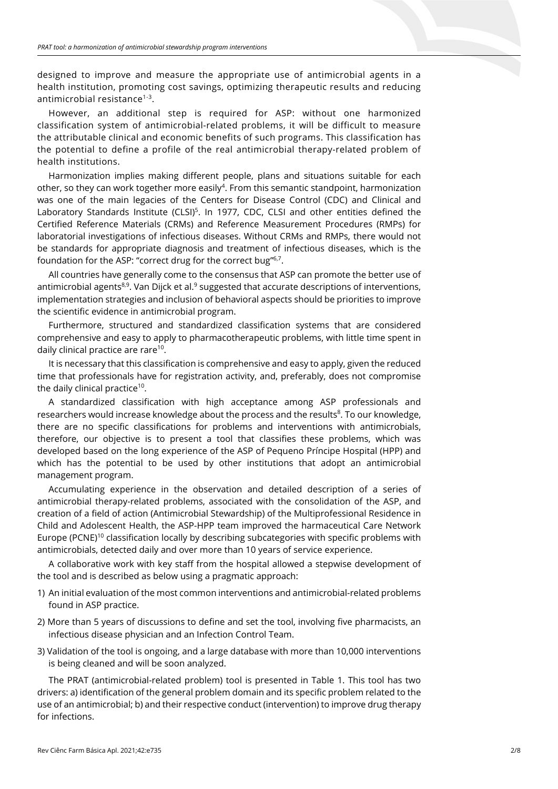designed to improve and measure the appropriate use of antimicrobial agents in a health institution, promoting cost savings, optimizing therapeutic results and reducing antimicrobial resistance<sup>1-3</sup>.

However, an additional step is required for ASP: without one harmonized classification system of antimicrobial-related problems, it will be difficult to measure the attributable clinical and economic benefits of such programs. This classification has the potential to define a profile of the real antimicrobial therapy-related problem of health institutions.

Harmonization implies making different people, plans and situations suitable for each other, so they can work together more easily<sup>4</sup>. From this semantic standpoint, harmonization was one of the main legacies of the Centers for Disease Control (CDC) and Clinical and Laboratory Standards Institute (CLSI)<sup>5</sup>. In 1977, CDC, CLSI and other entities defined the Certified Reference Materials (CRMs) and Reference Measurement Procedures (RMPs) for laboratorial investigations of infectious diseases. Without CRMs and RMPs, there would not be standards for appropriate diagnosis and treatment of infectious diseases, which is the foundation for the ASP: "correct drug for the correct bug"<sup>6,7</sup>.

All countries have generally come to the consensus that ASP can promote the better use of antimicrobial agents<sup>8,9</sup>. Van Dijck et al.<sup>9</sup> suggested that accurate descriptions of interventions, implementation strategies and inclusion of behavioral aspects should be priorities to improve the scientific evidence in antimicrobial program.

Furthermore, structured and standardized classification systems that are considered comprehensive and easy to apply to pharmacotherapeutic problems, with little time spent in daily clinical practice are rare10.

It is necessary that this classification is comprehensive and easy to apply, given the reduced time that professionals have for registration activity, and, preferably, does not compromise the daily clinical practice<sup>10</sup>.

A standardized classification with high acceptance among ASP professionals and researchers would increase knowledge about the process and the results<sup>8</sup>. To our knowledge, there are no specific classifications for problems and interventions with antimicrobials, therefore, our objective is to present a tool that classifies these problems, which was developed based on the long experience of the ASP of Pequeno Príncipe Hospital (HPP) and which has the potential to be used by other institutions that adopt an antimicrobial management program.

Accumulating experience in the observation and detailed description of a series of antimicrobial therapy-related problems, associated with the consolidation of the ASP, and creation of a field of action (Antimicrobial Stewardship) of the Multiprofessional Residence in Child and Adolescent Health, the ASP-HPP team improved the harmaceutical Care Network Europe (PCNE)<sup>10</sup> classification locally by describing subcategories with specific problems with antimicrobials, detected daily and over more than 10 years of service experience.

A collaborative work with key staff from the hospital allowed a stepwise development of the tool and is described as below using a pragmatic approach:

- 1) An initial evaluation of the most common interventions and antimicrobial-related problems found in ASP practice.
- 2) More than 5 years of discussions to define and set the tool, involving five pharmacists, an infectious disease physician and an Infection Control Team.
- 3) Validation of the tool is ongoing, and a large database with more than 10,000 interventions is being cleaned and will be soon analyzed.

The PRAT (antimicrobial-related problem) tool is presented in Table 1. This tool has two drivers: a) identification of the general problem domain and its specific problem related to the use of an antimicrobial; b) and their respective conduct (intervention) to improve drug therapy for infections.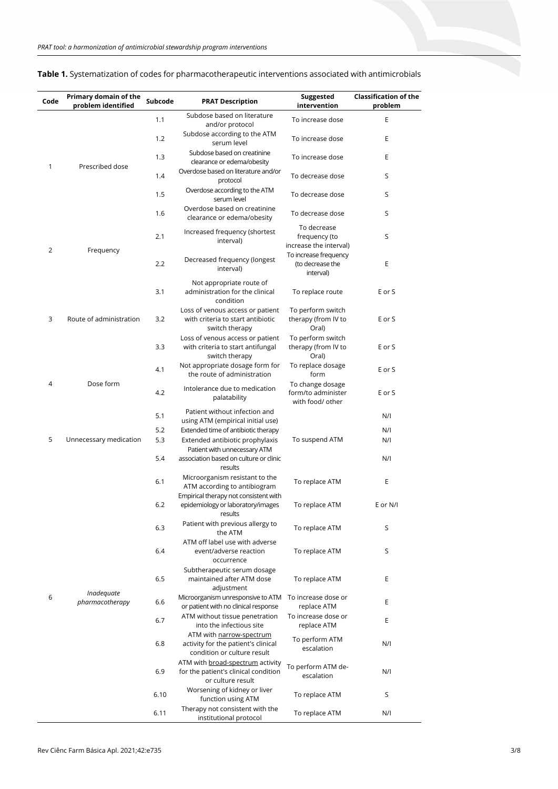| Code         | Primary domain of the<br>problem identified | Subcode | <b>PRAT Description</b>                                                                                 | Suggested<br>intervention                                  | <b>Classification of the</b><br>problem |
|--------------|---------------------------------------------|---------|---------------------------------------------------------------------------------------------------------|------------------------------------------------------------|-----------------------------------------|
|              | Prescribed dose                             | 1.1     | Subdose based on literature<br>and/or protocol                                                          | To increase dose                                           | E                                       |
|              |                                             | 1.2     | Subdose according to the ATM<br>serum level                                                             | To increase dose                                           | Ε                                       |
|              |                                             | 1.3     | Subdose based on creatinine<br>clearance or edema/obesity                                               | To increase dose                                           | E                                       |
| $\mathbf{1}$ |                                             | 1.4     | Overdose based on literature and/or<br>protocol                                                         | To decrease dose                                           | S                                       |
|              |                                             | 1.5     | Overdose according to the ATM<br>serum level                                                            | To decrease dose                                           | S                                       |
|              |                                             | 1.6     | Overdose based on creatinine<br>clearance or edema/obesity                                              | To decrease dose                                           | S                                       |
|              | Frequency                                   | 2.1     | Increased frequency (shortest<br>interval)                                                              | To decrease<br>frequency (to                               | S                                       |
| 2            |                                             |         |                                                                                                         | increase the interval)                                     |                                         |
|              |                                             | 2.2     | Decreased frequency (longest<br>interval)                                                               | To increase frequency<br>(to decrease the<br>interval)     | Ε                                       |
|              | Route of administration                     | 3.1     | Not appropriate route of<br>administration for the clinical<br>condition                                | To replace route                                           | E or S                                  |
| 3            |                                             | 3.2     | Loss of venous access or patient<br>with criteria to start antibiotic<br>switch therapy                 | To perform switch<br>therapy (from IV to<br>Oral)          | E or S                                  |
|              |                                             | 3.3     | Loss of venous access or patient<br>with criteria to start antifungal<br>switch therapy                 | To perform switch<br>therapy (from IV to<br>Oral)          | E or S                                  |
|              | Dose form                                   | 4.1     | Not appropriate dosage form for<br>the route of administration                                          | To replace dosage<br>form                                  | E or S                                  |
| 4            |                                             | 4.2     | Intolerance due to medication<br>palatability                                                           | To change dosage<br>form/to administer<br>with food/ other | E or S                                  |
|              |                                             | 5.1     | Patient without infection and<br>using ATM (empirical initial use)                                      |                                                            | N/I                                     |
|              |                                             | 5.2     | Extended time of antibiotic therapy                                                                     |                                                            | N/I                                     |
| 5            | Unnecessary medication                      | 5.3     | Extended antibiotic prophylaxis<br>Patient with unnecessary ATM                                         | To suspend ATM                                             | N/I                                     |
|              |                                             | 5.4     | association based on culture or clinic<br>results                                                       |                                                            | N/I                                     |
|              | Inadequate<br>pharmacotherapy               | 6.1     | Microorganism resistant to the<br>ATM according to antibiogram<br>Empirical therapy not consistent with | To replace ATM                                             | Ε                                       |
|              |                                             | 6.2     | epidemiology or laboratory/images<br>results                                                            | To replace ATM                                             | E or N/I                                |
|              |                                             | 6.3     | Patient with previous allergy to<br>the ATM                                                             | To replace ATM                                             | S                                       |
|              |                                             | 6.4     | ATM off label use with adverse<br>event/adverse reaction<br>occurrence                                  | To replace ATM                                             | S                                       |
|              |                                             | 6.5     | Subtherapeutic serum dosage<br>maintained after ATM dose<br>adjustment                                  | To replace ATM                                             | E                                       |
| 6            |                                             | 6.6     | Microorganism unresponsive to ATM<br>or patient with no clinical response                               | To increase dose or<br>replace ATM                         | Ε                                       |
|              |                                             | 6.7     | ATM without tissue penetration<br>into the infectious site                                              | To increase dose or<br>replace ATM                         | E                                       |
|              |                                             | 6.8     | ATM with narrow-spectrum<br>activity for the patient's clinical<br>condition or culture result          | To perform ATM<br>escalation                               | N/I                                     |
|              |                                             | 6.9     | ATM with broad-spectrum activity<br>for the patient's clinical condition<br>or culture result           | To perform ATM de-<br>escalation                           | N/I                                     |
|              |                                             | 6.10    | Worsening of kidney or liver<br>function using ATM                                                      | To replace ATM                                             | S                                       |
|              |                                             | 6.11    | Therapy not consistent with the<br>institutional protocol                                               | To replace ATM                                             | N/I                                     |

## **Table 1.** Systematization of codes for pharmacotherapeutic interventions associated with antimicrobials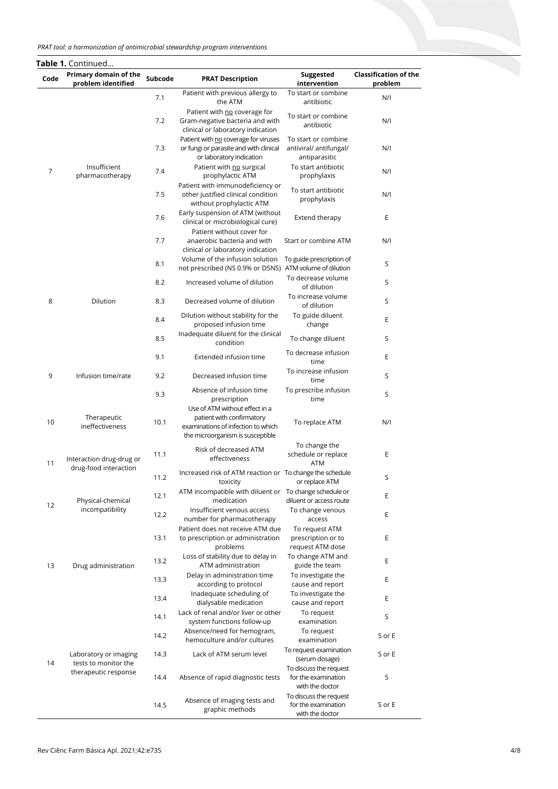#### *PRAT tool: a harmonization of antimicrobial stewardship program interventions*

| Code | Primary domain of the<br>problem identified                           | Subcode | <b>PRAT Description</b>                                                                                    | Suggested<br>intervention                                        | <b>Classification of the</b><br>problem |
|------|-----------------------------------------------------------------------|---------|------------------------------------------------------------------------------------------------------------|------------------------------------------------------------------|-----------------------------------------|
|      |                                                                       | 7.1     | Patient with previous allergy to<br>the ATM                                                                | To start or combine<br>antibiotic                                | N/I                                     |
|      |                                                                       | 7.2     | Patient with no coverage for<br>Gram-negative bacteria and with<br>clinical or laboratory indication       | To start or combine<br>antibiotic                                | N/I                                     |
|      |                                                                       | 7.3     | Patient with no coverage for viruses<br>or fungi or parasite and with clinical<br>or laboratory indication | To start or combine<br>antiviral/ antifungal/<br>antiparasitic   | N/I                                     |
| 7    | Insufficient<br>pharmacotherapy                                       | 7.4     | Patient with no surgical<br>prophylactic ATM                                                               | To start antibiotic<br>prophylaxis                               | N/I                                     |
|      |                                                                       | 7.5     | Patient with immunodeficiency or<br>other justified clinical condition<br>without prophylactic ATM         | To start antibiotic<br>prophylaxis                               | N/I                                     |
|      |                                                                       | 7.6     | Early suspension of ATM (without<br>clinical or microbiological cure)                                      | Extend therapy                                                   | Ε                                       |
|      |                                                                       | 7.7     | Patient without cover for<br>anaerobic bacteria and with<br>clinical or laboratory indication              | Start or combine ATM                                             | N/I                                     |
|      |                                                                       | 8.1     | Volume of the infusion solution<br>not prescribed (NS 0.9% or D5NS) ATM volume of dilution                 | To guide prescription of                                         | S                                       |
|      |                                                                       | 8.2     | Increased volume of dilution                                                                               | To decrease volume<br>of dilution                                | S                                       |
| 8    | Dilution                                                              | 8.3     | Decreased volume of dilution                                                                               | To increase volume<br>of dilution                                | S                                       |
|      |                                                                       | 8.4     | Dilution without stability for the<br>proposed infusion time                                               | To guide diluent<br>change                                       | Ε                                       |
|      |                                                                       | 8.5     | Inadequate diluent for the clinical<br>condition                                                           | To change diluent                                                | S                                       |
|      | Infusion time/rate                                                    | 9.1     | Extended infusion time                                                                                     | To decrease infusion<br>time                                     | E                                       |
| 9    |                                                                       | 9.2     | Decreased infusion time                                                                                    | To increase infusion<br>time                                     | S                                       |
|      |                                                                       | 9.3     | Absence of infusion time<br>prescription<br>Use of ATM without effect in a                                 | To prescribe infusion<br>time                                    | S                                       |
| 10   | Therapeutic<br>ineffectiveness                                        | 10.1    | patient with confirmatory<br>examinations of infection to which<br>the microorganism is susceptible        | To replace ATM                                                   | N/I                                     |
| 11   | Interaction drug-drug or<br>drug-food interaction                     | 11.1    | Risk of decreased ATM<br>effectiveness                                                                     | To change the<br>schedule or replace<br><b>ATM</b>               | Ε                                       |
|      |                                                                       | 11.2    | Increased risk of ATM reaction or To change the schedule<br>toxicity                                       | or replace ATM                                                   | S                                       |
| 12   | Physical-chemical<br>incompatibility                                  | 12.1    | ATM incompatible with diluent or To change schedule or<br>medication                                       | diluent or access route                                          | Ε                                       |
|      |                                                                       | 12.2    | Insufficient venous access<br>number for pharmacotherapy                                                   | To change venous<br>access                                       | E                                       |
|      | Drug administration                                                   | 13.1    | Patient does not receive ATM due<br>to prescription or administration<br>problems                          | To request ATM<br>prescription or to<br>request ATM dose         | Ε                                       |
| 13   |                                                                       | 13.2    | Loss of stability due to delay in<br>ATM administration                                                    | To change ATM and<br>guide the team                              | Ε                                       |
|      |                                                                       | 13.3    | Delay in administration time<br>according to protocol                                                      | To investigate the<br>cause and report                           | E                                       |
|      |                                                                       | 13.4    | Inadequate scheduling of<br>dialysable medication                                                          | To investigate the<br>cause and report                           | Ε                                       |
| 14   | Laboratory or imaging<br>tests to monitor the<br>therapeutic response | 14.1    | Lack of renal and/or liver or other<br>system functions follow-up                                          | To request<br>examination                                        | S                                       |
|      |                                                                       | 14.2    | Absence/need for hemogram,<br>hemoculture and/or cultures                                                  | To request<br>examination                                        | S or E                                  |
|      |                                                                       | 14.3    | Lack of ATM serum level                                                                                    | To request examination<br>(serum dosage)                         | S or E                                  |
|      |                                                                       | 14.4    | Absence of rapid diagnostic tests                                                                          | To discuss the request<br>for the examination<br>with the doctor | S                                       |
|      |                                                                       | 14.5    | Absence of imaging tests and<br>graphic methods                                                            | To discuss the request<br>for the examination<br>with the doctor | S or E                                  |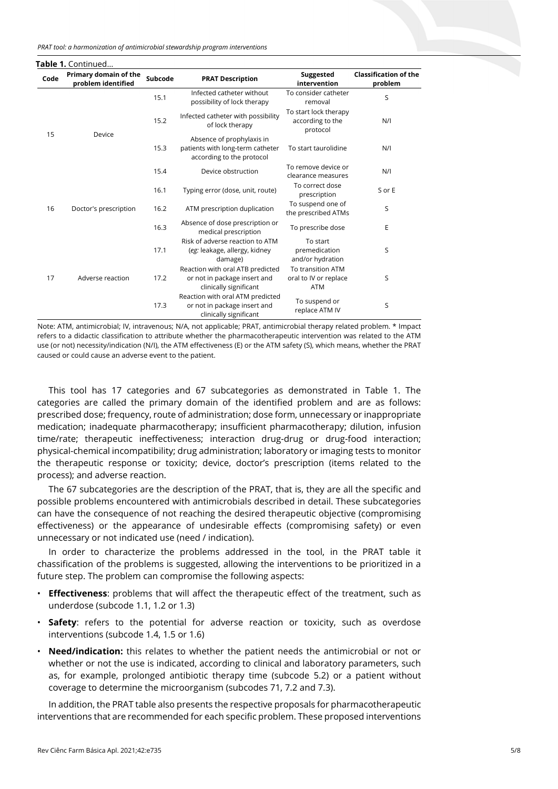*PRAT tool: a harmonization of antimicrobial stewardship program interventions*

| <b>Table 1.</b> Continued |                                             |         |                                                                                            |                                                          |                                         |  |
|---------------------------|---------------------------------------------|---------|--------------------------------------------------------------------------------------------|----------------------------------------------------------|-----------------------------------------|--|
| Code                      | Primary domain of the<br>problem identified | Subcode | <b>PRAT Description</b>                                                                    | Suggested<br>intervention                                | <b>Classification of the</b><br>problem |  |
| 15                        | Device                                      | 15.1    | Infected catheter without<br>possibility of lock therapy                                   | To consider catheter<br>removal                          | S                                       |  |
|                           |                                             | 15.2    | Infected catheter with possibility<br>of lock therapy                                      | To start lock therapy<br>according to the<br>protocol    | N/I                                     |  |
|                           |                                             | 15.3    | Absence of prophylaxis in<br>patients with long-term catheter<br>according to the protocol | To start taurolidine                                     | N/I                                     |  |
|                           |                                             | 15.4    | Device obstruction                                                                         | To remove device or<br>clearance measures                | N/I                                     |  |
| 16                        | Doctor's prescription                       | 16.1    | Typing error (dose, unit, route)                                                           | To correct dose<br>prescription                          | S or E                                  |  |
|                           |                                             | 16.2    | ATM prescription duplication                                                               | To suspend one of<br>the prescribed ATMs                 | S                                       |  |
|                           |                                             | 16.3    | Absence of dose prescription or<br>medical prescription                                    | To prescribe dose                                        | E                                       |  |
| 17                        | Adverse reaction                            | 17.1    | Risk of adverse reaction to ATM<br>(eg: leakage, allergy, kidney<br>damage)                | To start<br>premedication<br>and/or hydration            | S                                       |  |
|                           |                                             | 17.2    | Reaction with oral ATB predicted<br>or not in package insert and<br>clinically significant | To transition ATM<br>oral to IV or replace<br><b>ATM</b> | S                                       |  |
|                           |                                             | 17.3    | Reaction with oral ATM predicted<br>or not in package insert and<br>clinically significant | To suspend or<br>replace ATM IV                          | S                                       |  |

Note: ATM, antimicrobial; IV, intravenous; N/A, not applicable; PRAT, antimicrobial therapy related problem. \* Impact refers to a didactic classification to attribute whether the pharmacotherapeutic intervention was related to the ATM use (or not) necessity/indication (N/I), the ATM effectiveness (E) or the ATM safety (S), which means, whether the PRAT caused or could cause an adverse event to the patient.

This tool has 17 categories and 67 subcategories as demonstrated in Table 1. The categories are called the primary domain of the identified problem and are as follows: prescribed dose; frequency, route of administration; dose form, unnecessary or inappropriate medication; inadequate pharmacotherapy; insufficient pharmacotherapy; dilution, infusion time/rate; therapeutic ineffectiveness; interaction drug-drug or drug-food interaction; physical-chemical incompatibility; drug administration; laboratory or imaging tests to monitor the therapeutic response or toxicity; device, doctor's prescription (items related to the process); and adverse reaction.

The 67 subcategories are the description of the PRAT, that is, they are all the specific and possible problems encountered with antimicrobials described in detail. These subcategories can have the consequence of not reaching the desired therapeutic objective (compromising effectiveness) or the appearance of undesirable effects (compromising safety) or even unnecessary or not indicated use (need / indication).

In order to characterize the problems addressed in the tool, in the PRAT table it chassification of the problems is suggested, allowing the interventions to be prioritized in a future step. The problem can compromise the following aspects:

- **Effectiveness**: problems that will affect the therapeutic effect of the treatment, such as underdose (subcode 1.1, 1.2 or 1.3)
- **Safety**: refers to the potential for adverse reaction or toxicity, such as overdose interventions (subcode 1.4, 1.5 or 1.6)
- **Need/indication:** this relates to whether the patient needs the antimicrobial or not or whether or not the use is indicated, according to clinical and laboratory parameters, such as, for example, prolonged antibiotic therapy time (subcode 5.2) or a patient without coverage to determine the microorganism (subcodes 71, 7.2 and 7.3).

In addition, the PRAT table also presents the respective proposals for pharmacotherapeutic interventions that are recommended for each specific problem. These proposed interventions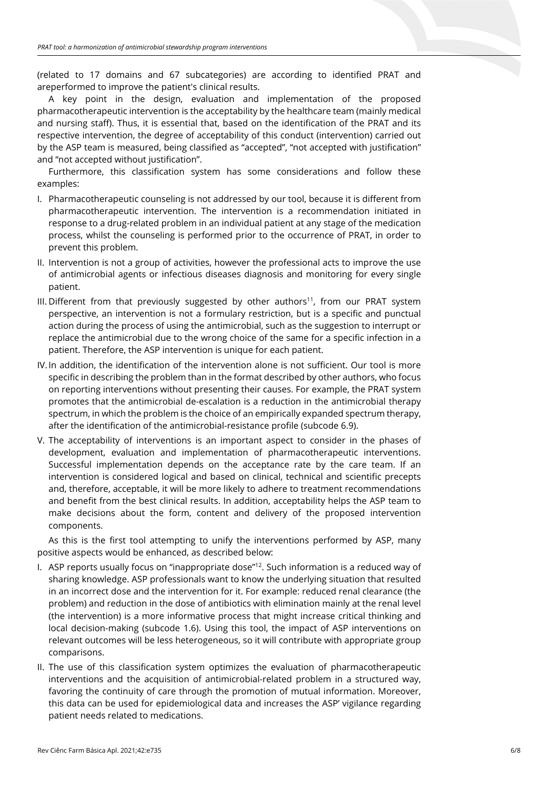(related to 17 domains and 67 subcategories) are according to identified PRAT and areperformed to improve the patient's clinical results.

A key point in the design, evaluation and implementation of the proposed pharmacotherapeutic intervention is the acceptability by the healthcare team (mainly medical and nursing staff). Thus, it is essential that, based on the identification of the PRAT and its respective intervention, the degree of acceptability of this conduct (intervention) carried out by the ASP team is measured, being classified as "accepted", "not accepted with justification" and "not accepted without justification".

Furthermore, this classification system has some considerations and follow these examples:

- I. Pharmacotherapeutic counseling is not addressed by our tool, because it is different from pharmacotherapeutic intervention. The intervention is a recommendation initiated in response to a drug-related problem in an individual patient at any stage of the medication process, whilst the counseling is performed prior to the occurrence of PRAT, in order to prevent this problem.
- II. Intervention is not a group of activities, however the professional acts to improve the use of antimicrobial agents or infectious diseases diagnosis and monitoring for every single patient.
- III. Different from that previously suggested by other authors<sup>11</sup>, from our PRAT system perspective, an intervention is not a formulary restriction, but is a specific and punctual action during the process of using the antimicrobial, such as the suggestion to interrupt or replace the antimicrobial due to the wrong choice of the same for a specific infection in a patient. Therefore, the ASP intervention is unique for each patient.
- IV. In addition, the identification of the intervention alone is not sufficient. Our tool is more specific in describing the problem than in the format described by other authors, who focus on reporting interventions without presenting their causes. For example, the PRAT system promotes that the antimicrobial de-escalation is a reduction in the antimicrobial therapy spectrum, in which the problem is the choice of an empirically expanded spectrum therapy, after the identification of the antimicrobial-resistance profile (subcode 6.9).
- V. The acceptability of interventions is an important aspect to consider in the phases of development, evaluation and implementation of pharmacotherapeutic interventions. Successful implementation depends on the acceptance rate by the care team. If an intervention is considered logical and based on clinical, technical and scientific precepts and, therefore, acceptable, it will be more likely to adhere to treatment recommendations and benefit from the best clinical results. In addition, acceptability helps the ASP team to make decisions about the form, content and delivery of the proposed intervention components.

As this is the first tool attempting to unify the interventions performed by ASP, many positive aspects would be enhanced, as described below:

- I. ASP reports usually focus on "inappropriate dose"12. Such information is a reduced way of sharing knowledge. ASP professionals want to know the underlying situation that resulted in an incorrect dose and the intervention for it. For example: reduced renal clearance (the problem) and reduction in the dose of antibiotics with elimination mainly at the renal level (the intervention) is a more informative process that might increase critical thinking and local decision-making (subcode 1.6). Using this tool, the impact of ASP interventions on relevant outcomes will be less heterogeneous, so it will contribute with appropriate group comparisons.
- II. The use of this classification system optimizes the evaluation of pharmacotherapeutic interventions and the acquisition of antimicrobial-related problem in a structured way, favoring the continuity of care through the promotion of mutual information. Moreover, this data can be used for epidemiological data and increases the ASP' vigilance regarding patient needs related to medications.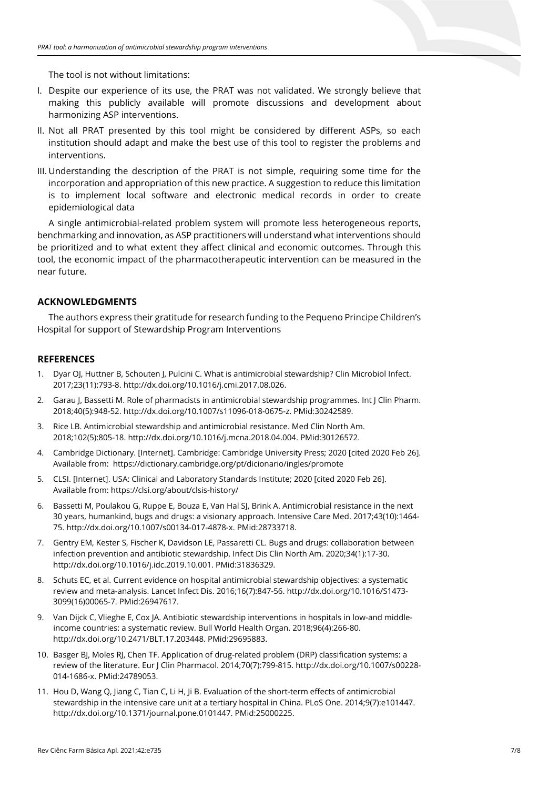The tool is not without limitations:

- I. Despite our experience of its use, the PRAT was not validated. We strongly believe that making this publicly available will promote discussions and development about harmonizing ASP interventions.
- II. Not all PRAT presented by this tool might be considered by different ASPs, so each institution should adapt and make the best use of this tool to register the problems and interventions.
- III. Understanding the description of the PRAT is not simple, requiring some time for the incorporation and appropriation of this new practice. A suggestion to reduce this limitation is to implement local software and electronic medical records in order to create epidemiological data

A single antimicrobial-related problem system will promote less heterogeneous reports, benchmarking and innovation, as ASP practitioners will understand what interventions should be prioritized and to what extent they affect clinical and economic outcomes. Through this tool, the economic impact of the pharmacotherapeutic intervention can be measured in the near future.

# **ACKNOWLEDGMENTS**

The authors express their gratitude for research funding to the Pequeno Principe Children's Hospital for support of Stewardship Program Interventions

#### **REFERENCES**

- 1. Dyar OJ, Huttner B, Schouten J, Pulcini C. What is antimicrobial stewardship? Clin Microbiol Infect. 2017;23(11):793-8. [http://dx.doi.org/10.1016/j.cmi.2017.08.026.](https://doi.org/10.1016/j.cmi.2017.08.026)
- 2. Garau J, Bassetti M. Role of pharmacists in antimicrobial stewardship programmes. Int J Clin Pharm. 2018;40(5):948-52. [http://dx.doi.org/10.1007/s11096-018-0675-z.](https://doi.org/10.1007/s11096-018-0675-z) [PMid:30242589.](https://www.ncbi.nlm.nih.gov/entrez/query.fcgi?cmd=Retrieve&db=PubMed&list_uids=30242589&dopt=Abstract)
- 3. Rice LB. Antimicrobial stewardship and antimicrobial resistance. Med Clin North Am. 2018;102(5):805-18[. http://dx.doi.org/10.1016/j.mcna.2018.04.004.](https://doi.org/10.1016/j.mcna.2018.04.004) [PMid:30126572.](https://www.ncbi.nlm.nih.gov/entrez/query.fcgi?cmd=Retrieve&db=PubMed&list_uids=30126572&dopt=Abstract)
- 4. Cambridge Dictionary. [Internet]. Cambridge: Cambridge University Press; 2020 [cited 2020 Feb 26]. Available from: https://dictionary.cambridge.org/pt/dicionario/ingles/promote
- 5. CLSI. [Internet]. USA: Clinical and Laboratory Standards Institute; 2020 [cited 2020 Feb 26]. Available from: https://clsi.org/about/clsis-history/
- 6. Bassetti M, Poulakou G, Ruppe E, Bouza E, Van Hal SJ, Brink A. Antimicrobial resistance in the next 30 years, humankind, bugs and drugs: a visionary approach. Intensive Care Med. 2017;43(10):1464- 75. [http://dx.doi.org/10.1007/s00134-017-4878-x.](https://doi.org/10.1007/s00134-017-4878-x) [PMid:28733718.](https://www.ncbi.nlm.nih.gov/entrez/query.fcgi?cmd=Retrieve&db=PubMed&list_uids=28733718&dopt=Abstract)
- 7. Gentry EM, Kester S, Fischer K, Davidson LE, Passaretti CL. Bugs and drugs: collaboration between infection prevention and antibiotic stewardship. Infect Dis Clin North Am. 2020;34(1):17-30. [http://dx.doi.org/10.1016/j.idc.2019.10.001.](https://doi.org/10.1016/j.idc.2019.10.001) [PMid:31836329.](https://www.ncbi.nlm.nih.gov/entrez/query.fcgi?cmd=Retrieve&db=PubMed&list_uids=31836329&dopt=Abstract)
- 8. Schuts EC, et al. Current evidence on hospital antimicrobial stewardship objectives: a systematic review and meta-analysis. Lancet Infect Dis. 2016;16(7):847-56[. http://dx.doi.org/10.1016/S1473-](https://doi.org/10.1016/S1473-3099(16)00065-7) [3099\(16\)00065-7.](https://doi.org/10.1016/S1473-3099(16)00065-7) [PMid:26947617.](https://www.ncbi.nlm.nih.gov/entrez/query.fcgi?cmd=Retrieve&db=PubMed&list_uids=26947617&dopt=Abstract)
- 9. Van Dijck C, Vlieghe E, Cox JA. Antibiotic stewardship interventions in hospitals in low-and middleincome countries: a systematic review. Bull World Health Organ. 2018;96(4):266-80. [http://dx.doi.org/10.2471/BLT.17.203448.](https://doi.org/10.2471/BLT.17.203448) [PMid:29695883.](https://www.ncbi.nlm.nih.gov/entrez/query.fcgi?cmd=Retrieve&db=PubMed&list_uids=29695883&dopt=Abstract)
- 10. Basger BJ, Moles RJ, Chen TF. Application of drug-related problem (DRP) classification systems: a review of the literature. Eur J Clin Pharmacol. 2014;70(7):799-815[. http://dx.doi.org/10.1007/s00228-](https://doi.org/10.1007/s00228-014-1686-x) [014-1686-x.](https://doi.org/10.1007/s00228-014-1686-x) [PMid:24789053.](https://www.ncbi.nlm.nih.gov/entrez/query.fcgi?cmd=Retrieve&db=PubMed&list_uids=24789053&dopt=Abstract)
- 11. Hou D, Wang Q, Jiang C, Tian C, Li H, Ji B. Evaluation of the short-term effects of antimicrobial stewardship in the intensive care unit at a tertiary hospital in China. PLoS One. 2014;9(7):e101447. [http://dx.doi.org/10.1371/journal.pone.0101447.](https://doi.org/10.1371/journal.pone.0101447) [PMid:25000225.](https://www.ncbi.nlm.nih.gov/entrez/query.fcgi?cmd=Retrieve&db=PubMed&list_uids=25000225&dopt=Abstract)